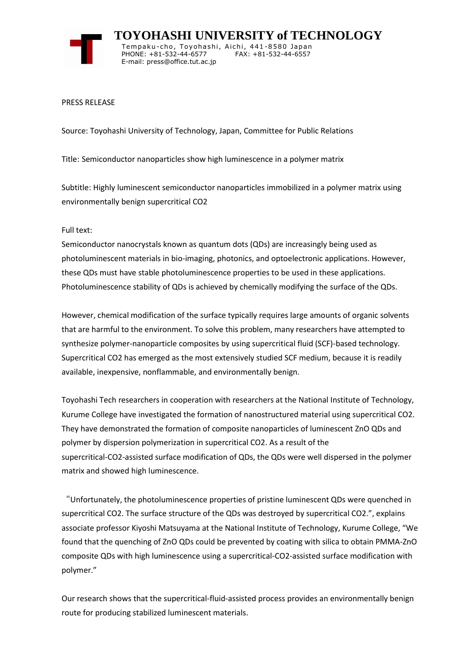

 **TOYOHASHI UNIVERSITY of TECHNOLOGY** Tempaku-cho, Toyohashi, Aichi, 441-8580 Japan PHONE: +81-532-44-6577 FAX: +81-532-44-6557 E-mail: press@office.tut.ac.jp

## PRESS RELEASE

Source: Toyohashi University of Technology, Japan, Committee for Public Relations

Title: Semiconductor nanoparticles show high luminescence in a polymer matrix

Subtitle: Highly luminescent semiconductor nanoparticles immobilized in a polymer matrix using environmentally benign supercritical CO2

## Full text:

Semiconductor nanocrystals known as quantum dots (QDs) are increasingly being used as photoluminescent materials in bio-imaging, photonics, and optoelectronic applications. However, these QDs must have stable photoluminescence properties to be used in these applications. Photoluminescence stability of QDs is achieved by chemically modifying the surface of the QDs.

However, chemical modification of the surface typically requires large amounts of organic solvents that are harmful to the environment. To solve this problem, many researchers have attempted to synthesize polymer-nanoparticle composites by using supercritical fluid (SCF)-based technology. Supercritical CO2 has emerged as the most extensively studied SCF medium, because it is readily available, inexpensive, nonflammable, and environmentally benign.

Toyohashi Tech researchers in cooperation with researchers at the National Institute of Technology, Kurume College have investigated the formation of nanostructured material using supercritical CO2. They have demonstrated the formation of composite nanoparticles of luminescent ZnO QDs and polymer by dispersion polymerization in supercritical CO2. As a result of the supercritical-CO2-assisted surface modification of QDs, the QDs were well dispersed in the polymer matrix and showed high luminescence.

"Unfortunately, the photoluminescence properties of pristine luminescent QDs were quenched in supercritical CO2. The surface structure of the QDs was destroyed by supercritical CO2.", explains associate professor Kiyoshi Matsuyama at the National Institute of Technology, Kurume College, "We found that the quenching of ZnO QDs could be prevented by coating with silica to obtain PMMA-ZnO composite QDs with high luminescence using a supercritical-CO2-assisted surface modification with polymer."

Our research shows that the supercritical-fluid-assisted process provides an environmentally benign route for producing stabilized luminescent materials.